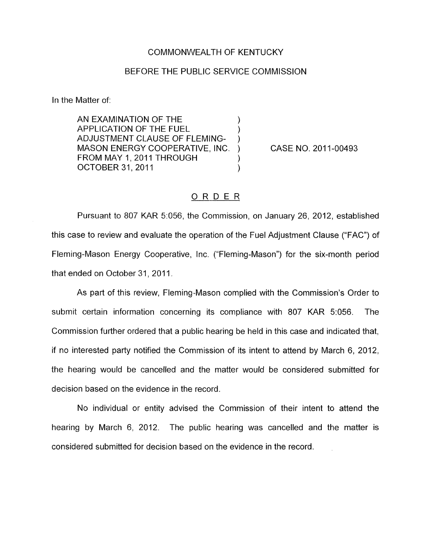## COMMONWEALTH OF KENTUCKY

## BEFORE THE PUBLIC SERVICE COMMISSION

In the Matter of:

AN EXAMINATION OF THE 1 APPLICATION OF THE FUEL ) ADJUSTMENT CLAUSE OF FLEMING-MASON ENERGY COOPERATIVE, INC. ) FROM MAY 1, 2011 THROUGH OCTOBER 31, 2011 (1999)

CASE NO. 2011-00493

## ORDER

Pursuant to 807 KAR 5:056, the Commission, on January 26, 2012, established this case to review and evaluate the operation of the Fuel Adjustment Clause ("FAC") of Fleming-Mason Energy Cooperative, Inc. ("Fleming-Mason") for the six-month period that ended on October 31, 2011.

As part of this review, Fleming-Mason complied with the Commission's Order to submit certain information concerning its compliance with 807 KAR 5:056. The Commission further ordered that a public hearing be held in this case and indicated that, if no interested party notified the Commission of its intent to attend by March 6, 2012, the hearing would be cancelled and the matter would be considered submitted for decision based on the evidence in the record.

No individual or entity advised the Commission of their intent to attend the hearing by March 6, 2012. The public hearing was cancelled and the matter is considered submitted for decision based on the evidence in the record.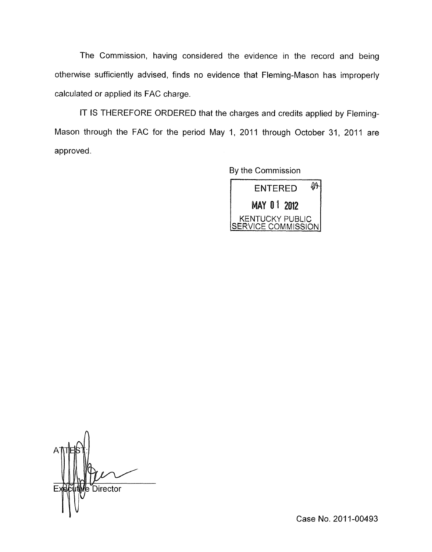The Commission, having considered the evidence in the record and being otherwise sufficiently advised, finds no evidence that Fleming-Mason has improperly calculated or applied its FAC charge.

IT IS THEREFORE ORDERED that the charges and credits applied by Fleming-Mason through the FAC for the period May 1, 2011 through October 31, 2011 are approved.

By the Commission



e Director

Case **No.** 201 1-00493